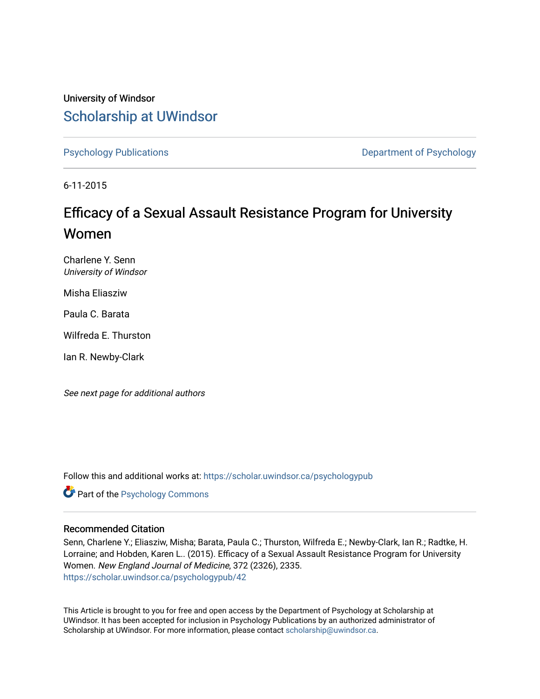University of Windsor [Scholarship at UWindsor](https://scholar.uwindsor.ca/) 

[Psychology Publications](https://scholar.uwindsor.ca/psychologypub) **Department of Psychology** 

6-11-2015

# Efficacy of a Sexual Assault Resistance Program for University Women

Charlene Y. Senn University of Windsor

Misha Eliasziw

Paula C. Barata

Wilfreda E. Thurston

Ian R. Newby-Clark

See next page for additional authors

Follow this and additional works at: [https://scholar.uwindsor.ca/psychologypub](https://scholar.uwindsor.ca/psychologypub?utm_source=scholar.uwindsor.ca%2Fpsychologypub%2F42&utm_medium=PDF&utm_campaign=PDFCoverPages) 

Part of the [Psychology Commons](http://network.bepress.com/hgg/discipline/404?utm_source=scholar.uwindsor.ca%2Fpsychologypub%2F42&utm_medium=PDF&utm_campaign=PDFCoverPages) 

## Recommended Citation

Senn, Charlene Y.; Eliasziw, Misha; Barata, Paula C.; Thurston, Wilfreda E.; Newby-Clark, Ian R.; Radtke, H. Lorraine; and Hobden, Karen L.. (2015). Efficacy of a Sexual Assault Resistance Program for University Women. New England Journal of Medicine, 372 (2326), 2335. [https://scholar.uwindsor.ca/psychologypub/42](https://scholar.uwindsor.ca/psychologypub/42?utm_source=scholar.uwindsor.ca%2Fpsychologypub%2F42&utm_medium=PDF&utm_campaign=PDFCoverPages)

This Article is brought to you for free and open access by the Department of Psychology at Scholarship at UWindsor. It has been accepted for inclusion in Psychology Publications by an authorized administrator of Scholarship at UWindsor. For more information, please contact [scholarship@uwindsor.ca.](mailto:scholarship@uwindsor.ca)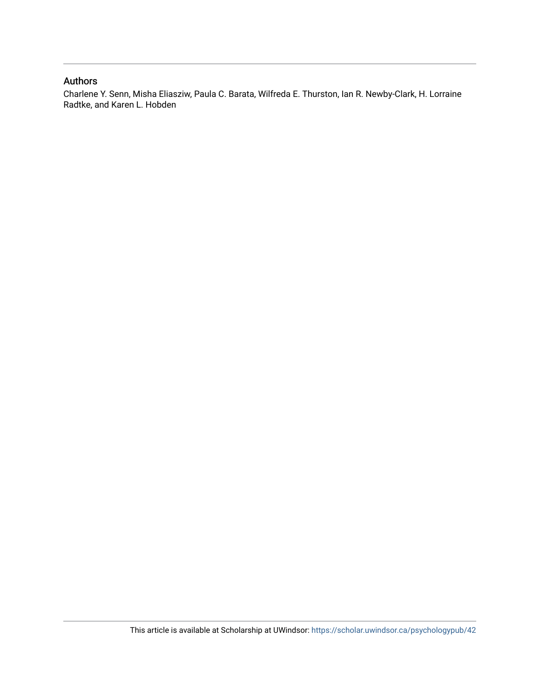## Authors

Charlene Y. Senn, Misha Eliasziw, Paula C. Barata, Wilfreda E. Thurston, Ian R. Newby-Clark, H. Lorraine Radtke, and Karen L. Hobden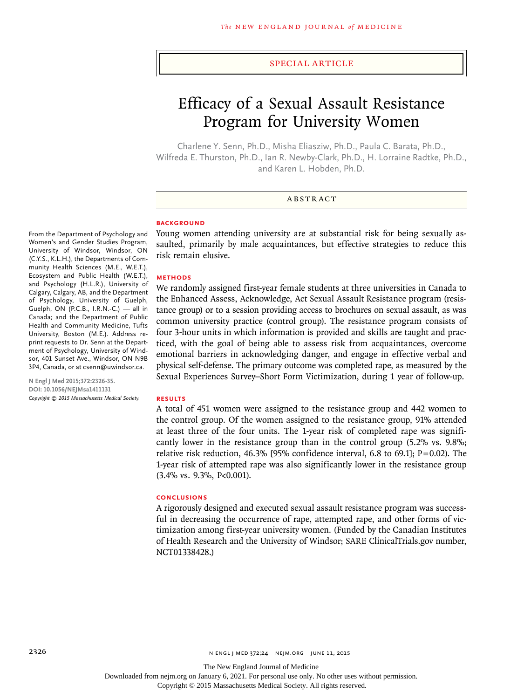#### Special Article

# Efficacy of a Sexual Assault Resistance Program for University Women

Charlene Y. Senn, Ph.D., Misha Eliasziw, Ph.D., Paula C. Barata, Ph.D., Wilfreda E. Thurston, Ph.D., Ian R. Newby-Clark, Ph.D., H. Lorraine Radtke, Ph.D., and Karen L. Hobden, Ph.D.

## ABSTRACT

#### **BACKGROUND**

From the Department of Psychology and Women's and Gender Studies Program, University of Windsor, Windsor, ON (C.Y.S., K.L.H.), the Departments of Community Health Sciences (M.E., W.E.T.), Ecosystem and Public Health (W.E.T.), and Psychology (H.L.R.), University of Calgary, Calgary, AB, and the Department of Psychology, University of Guelph, Guelph, ON (P.C.B., I.R.N.-C.) — all in Canada; and the Department of Public Health and Community Medicine, Tufts University, Boston (M.E.). Address reprint requests to Dr. Senn at the Department of Psychology, University of Windsor, 401 Sunset Ave., Windsor, ON N9B 3P4, Canada, or at csenn@uwindsor.ca.

**N Engl J Med 2015;372:2326-35. DOI: 10.1056/NEJMsa1411131** *Copyright © 2015 Massachusetts Medical Society.* Young women attending university are at substantial risk for being sexually assaulted, primarily by male acquaintances, but effective strategies to reduce this risk remain elusive.

#### **METHODS**

We randomly assigned first-year female students at three universities in Canada to the Enhanced Assess, Acknowledge, Act Sexual Assault Resistance program (resistance group) or to a session providing access to brochures on sexual assault, as was common university practice (control group). The resistance program consists of four 3-hour units in which information is provided and skills are taught and practiced, with the goal of being able to assess risk from acquaintances, overcome emotional barriers in acknowledging danger, and engage in effective verbal and physical self-defense. The primary outcome was completed rape, as measured by the Sexual Experiences Survey–Short Form Victimization, during 1 year of follow-up.

#### **RESULTS**

A total of 451 women were assigned to the resistance group and 442 women to the control group. Of the women assigned to the resistance group, 91% attended at least three of the four units. The 1-year risk of completed rape was significantly lower in the resistance group than in the control group (5.2% vs. 9.8%; relative risk reduction, 46.3% [95% confidence interval, 6.8 to 69.1];  $P=0.02$ ). The 1-year risk of attempted rape was also significantly lower in the resistance group (3.4% vs. 9.3%, P<0.001).

#### **CONCLUSIONS**

A rigorously designed and executed sexual assault resistance program was successful in decreasing the occurrence of rape, attempted rape, and other forms of victimization among first-year university women. (Funded by the Canadian Institutes of Health Research and the University of Windsor; SARE ClinicalTrials.gov number, NCT01338428.)

Downloaded from nejm.org on January 6, 2021. For personal use only. No other uses without permission.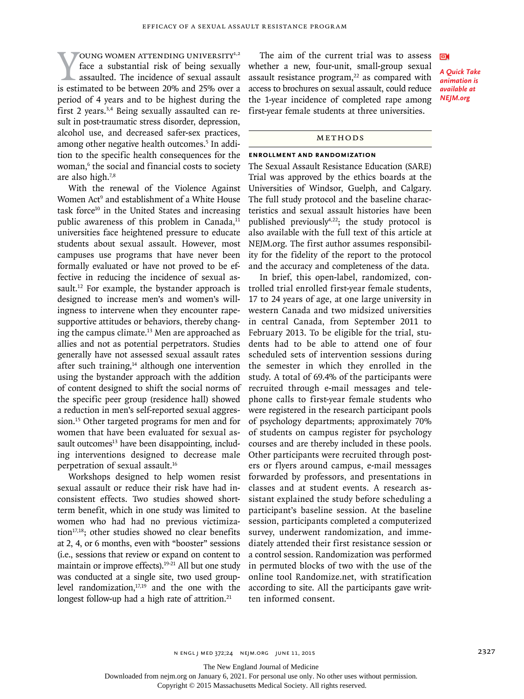VOUNG WOMEN ATTENDING UNIVERSITY<sup>1,2</sup><br>face a substantial risk of being sexually<br>assaulted. The incidence of sexual assault<br>is estimated to be between 20% and 25% over a OUNG WOMEN ATTENDING UNIVERSITY<sup>1,2</sup> face a substantial risk of being sexually assaulted. The incidence of sexual assault period of 4 years and to be highest during the first 2 years.3,4 Being sexually assaulted can result in post-traumatic stress disorder, depression, alcohol use, and decreased safer-sex practices, among other negative health outcomes.<sup>5</sup> In addition to the specific health consequences for the woman,6 the social and financial costs to society are also high.7,8

With the renewal of the Violence Against Women Act<sup>9</sup> and establishment of a White House task force $10$  in the United States and increasing public awareness of this problem in Canada, $11$ universities face heightened pressure to educate students about sexual assault. However, most campuses use programs that have never been formally evaluated or have not proved to be effective in reducing the incidence of sexual assault.<sup>12</sup> For example, the bystander approach is designed to increase men's and women's willingness to intervene when they encounter rapesupportive attitudes or behaviors, thereby changing the campus climate.13 Men are approached as allies and not as potential perpetrators. Studies generally have not assessed sexual assault rates after such training, $14$  although one intervention using the bystander approach with the addition of content designed to shift the social norms of the specific peer group (residence hall) showed a reduction in men's self-reported sexual aggression.15 Other targeted programs for men and for women that have been evaluated for sexual assault outcomes $<sup>13</sup>$  have been disappointing, includ-</sup> ing interventions designed to decrease male perpetration of sexual assault.16

Workshops designed to help women resist sexual assault or reduce their risk have had inconsistent effects. Two studies showed shortterm benefit, which in one study was limited to women who had had no previous victimization $17,18$ ; other studies showed no clear benefits at 2, 4, or 6 months, even with "booster" sessions (i.e., sessions that review or expand on content to maintain or improve effects).<sup>19-21</sup> All but one study was conducted at a single site, two used grouplevel randomization,<sup>17,19</sup> and the one with the longest follow-up had a high rate of attrition. $21$ 

The aim of the current trial was to assess whether a new, four-unit, small-group sexual assault resistance program, $22$  as compared with access to brochures on sexual assault, could reduce the 1-year incidence of completed rape among first-year female students at three universities.

*A Quick Take animation is available at NEJM.org*

ЕŃ

## METHODS

#### **Enrollment and Randomization**

The Sexual Assault Resistance Education (SARE) Trial was approved by the ethics boards at the Universities of Windsor, Guelph, and Calgary. The full study protocol and the baseline characteristics and sexual assault histories have been published previously $4,22$ ; the study protocol is also available with the full text of this article at NEJM.org. The first author assumes responsibility for the fidelity of the report to the protocol and the accuracy and completeness of the data.

In brief, this open-label, randomized, controlled trial enrolled first-year female students, 17 to 24 years of age, at one large university in western Canada and two midsized universities in central Canada, from September 2011 to February 2013. To be eligible for the trial, students had to be able to attend one of four scheduled sets of intervention sessions during the semester in which they enrolled in the study. A total of 69.4% of the participants were recruited through e-mail messages and telephone calls to first-year female students who were registered in the research participant pools of psychology departments; approximately 70% of students on campus register for psychology courses and are thereby included in these pools. Other participants were recruited through posters or flyers around campus, e-mail messages forwarded by professors, and presentations in classes and at student events. A research assistant explained the study before scheduling a participant's baseline session. At the baseline session, participants completed a computerized survey, underwent randomization, and immediately attended their first resistance session or a control session. Randomization was performed in permuted blocks of two with the use of the online tool Randomize.net, with stratification according to site. All the participants gave written informed consent.

The New England Journal of Medicine

Downloaded from nejm.org on January 6, 2021. For personal use only. No other uses without permission.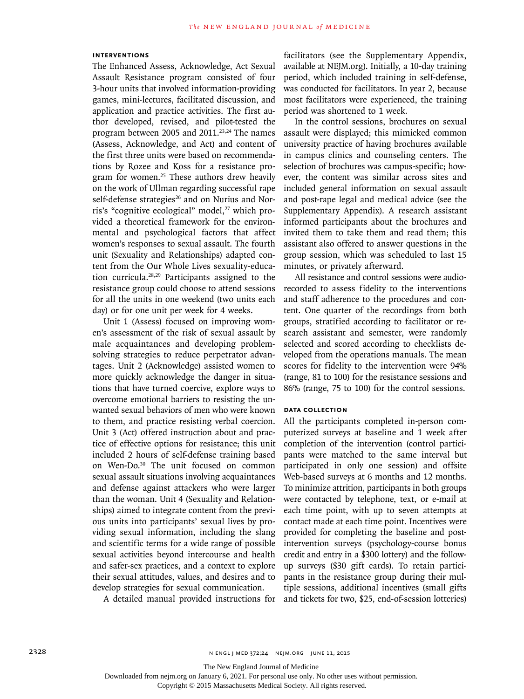## **Interventions**

The Enhanced Assess, Acknowledge, Act Sexual Assault Resistance program consisted of four 3-hour units that involved information-providing games, mini-lectures, facilitated discussion, and application and practice activities. The first author developed, revised, and pilot-tested the program between 2005 and 2011.23,24 The names (Assess, Acknowledge, and Act) and content of the first three units were based on recommendations by Rozee and Koss for a resistance program for women.<sup>25</sup> These authors drew heavily on the work of Ullman regarding successful rape self-defense strategies<sup>26</sup> and on Nurius and Norris's "cognitive ecological" model, $27$  which provided a theoretical framework for the environmental and psychological factors that affect women's responses to sexual assault. The fourth unit (Sexuality and Relationships) adapted content from the Our Whole Lives sexuality-education curricula.28,29 Participants assigned to the resistance group could choose to attend sessions for all the units in one weekend (two units each day) or for one unit per week for 4 weeks.

Unit 1 (Assess) focused on improving women's assessment of the risk of sexual assault by male acquaintances and developing problemsolving strategies to reduce perpetrator advantages. Unit 2 (Acknowledge) assisted women to more quickly acknowledge the danger in situations that have turned coercive, explore ways to overcome emotional barriers to resisting the unwanted sexual behaviors of men who were known to them, and practice resisting verbal coercion. Unit 3 (Act) offered instruction about and practice of effective options for resistance; this unit included 2 hours of self-defense training based on Wen-Do.30 The unit focused on common sexual assault situations involving acquaintances and defense against attackers who were larger than the woman. Unit 4 (Sexuality and Relationships) aimed to integrate content from the previous units into participants' sexual lives by providing sexual information, including the slang and scientific terms for a wide range of possible sexual activities beyond intercourse and health and safer-sex practices, and a context to explore their sexual attitudes, values, and desires and to develop strategies for sexual communication.

A detailed manual provided instructions for

facilitators (see the Supplementary Appendix, available at NEJM.org). Initially, a 10-day training period, which included training in self-defense, was conducted for facilitators. In year 2, because most facilitators were experienced, the training period was shortened to 1 week.

In the control sessions, brochures on sexual assault were displayed; this mimicked common university practice of having brochures available in campus clinics and counseling centers. The selection of brochures was campus-specific; however, the content was similar across sites and included general information on sexual assault and post-rape legal and medical advice (see the Supplementary Appendix). A research assistant informed participants about the brochures and invited them to take them and read them; this assistant also offered to answer questions in the group session, which was scheduled to last 15 minutes, or privately afterward.

All resistance and control sessions were audiorecorded to assess fidelity to the interventions and staff adherence to the procedures and content. One quarter of the recordings from both groups, stratified according to facilitator or research assistant and semester, were randomly selected and scored according to checklists developed from the operations manuals. The mean scores for fidelity to the intervention were 94% (range, 81 to 100) for the resistance sessions and 86% (range, 75 to 100) for the control sessions.

### **Data Collection**

All the participants completed in-person computerized surveys at baseline and 1 week after completion of the intervention (control participants were matched to the same interval but participated in only one session) and offsite Web-based surveys at 6 months and 12 months. To minimize attrition, participants in both groups were contacted by telephone, text, or e-mail at each time point, with up to seven attempts at contact made at each time point. Incentives were provided for completing the baseline and postintervention surveys (psychology-course bonus credit and entry in a \$300 lottery) and the followup surveys (\$30 gift cards). To retain participants in the resistance group during their multiple sessions, additional incentives (small gifts and tickets for two, \$25, end-of-session lotteries)

Downloaded from nejm.org on January 6, 2021. For personal use only. No other uses without permission.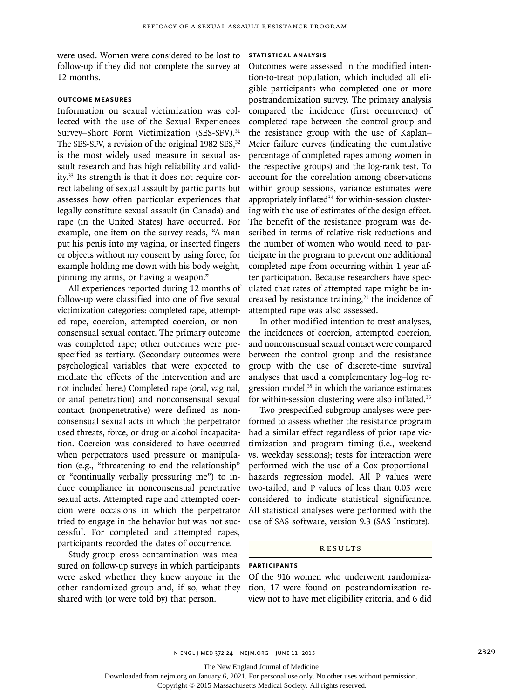were used. Women were considered to be lost to follow-up if they did not complete the survey at 12 months.

#### **Outcome Measures**

Information on sexual victimization was collected with the use of the Sexual Experiences Survey–Short Form Victimization (SES-SFV).<sup>31</sup> The SES-SFV, a revision of the original 1982 SES,<sup>32</sup> is the most widely used measure in sexual assault research and has high reliability and validity.33 Its strength is that it does not require correct labeling of sexual assault by participants but assesses how often particular experiences that legally constitute sexual assault (in Canada) and rape (in the United States) have occurred. For example, one item on the survey reads, "A man put his penis into my vagina, or inserted fingers or objects without my consent by using force, for example holding me down with his body weight, pinning my arms, or having a weapon."

All experiences reported during 12 months of follow-up were classified into one of five sexual victimization categories: completed rape, attempted rape, coercion, attempted coercion, or nonconsensual sexual contact. The primary outcome was completed rape; other outcomes were prespecified as tertiary. (Secondary outcomes were psychological variables that were expected to mediate the effects of the intervention and are not included here.) Completed rape (oral, vaginal, or anal penetration) and nonconsensual sexual contact (nonpenetrative) were defined as nonconsensual sexual acts in which the perpetrator used threats, force, or drug or alcohol incapacitation. Coercion was considered to have occurred when perpetrators used pressure or manipulation (e.g., "threatening to end the relationship" or "continually verbally pressuring me") to induce compliance in nonconsensual penetrative sexual acts. Attempted rape and attempted coercion were occasions in which the perpetrator tried to engage in the behavior but was not successful. For completed and attempted rapes, participants recorded the dates of occurrence.

Study-group cross-contamination was measured on follow-up surveys in which participants were asked whether they knew anyone in the other randomized group and, if so, what they shared with (or were told by) that person.

### **Statistical Analysis**

Outcomes were assessed in the modified intention-to-treat population, which included all eligible participants who completed one or more postrandomization survey. The primary analysis compared the incidence (first occurrence) of completed rape between the control group and the resistance group with the use of Kaplan– Meier failure curves (indicating the cumulative percentage of completed rapes among women in the respective groups) and the log-rank test. To account for the correlation among observations within group sessions, variance estimates were appropriately inflated<sup>34</sup> for within-session clustering with the use of estimates of the design effect. The benefit of the resistance program was described in terms of relative risk reductions and the number of women who would need to participate in the program to prevent one additional completed rape from occurring within 1 year after participation. Because researchers have speculated that rates of attempted rape might be increased by resistance training, $21$  the incidence of attempted rape was also assessed.

In other modified intention-to-treat analyses, the incidences of coercion, attempted coercion, and nonconsensual sexual contact were compared between the control group and the resistance group with the use of discrete-time survival analyses that used a complementary log–log regression model, $35$  in which the variance estimates for within-session clustering were also inflated.<sup>36</sup>

Two prespecified subgroup analyses were performed to assess whether the resistance program had a similar effect regardless of prior rape victimization and program timing (i.e., weekend vs. weekday sessions); tests for interaction were performed with the use of a Cox proportionalhazards regression model. All P values were two-tailed, and P values of less than 0.05 were considered to indicate statistical significance. All statistical analyses were performed with the use of SAS software, version 9.3 (SAS Institute).

#### Results

## **Participants**

Of the 916 women who underwent randomization, 17 were found on postrandomization review not to have met eligibility criteria, and 6 did

The New England Journal of Medicine

Downloaded from nejm.org on January 6, 2021. For personal use only. No other uses without permission.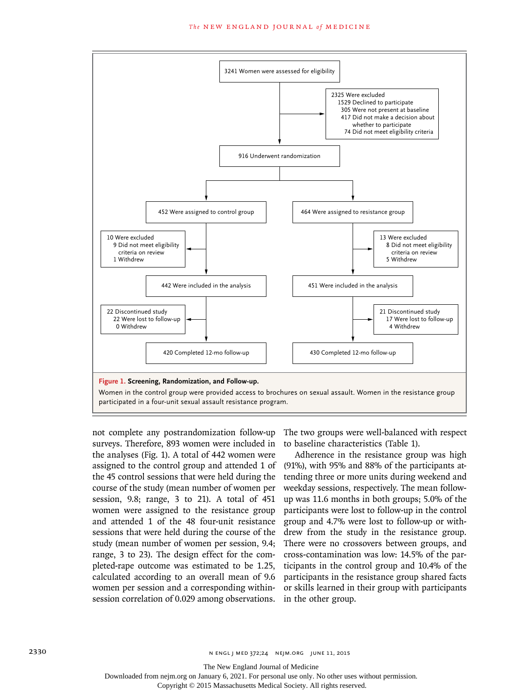

not complete any postrandomization follow-up surveys. Therefore, 893 women were included in the analyses (Fig. 1). A total of 442 women were assigned to the control group and attended 1 of the 45 control sessions that were held during the course of the study (mean number of women per session, 9.8; range, 3 to 21). A total of 451 women were assigned to the resistance group and attended 1 of the 48 four-unit resistance sessions that were held during the course of the study (mean number of women per session, 9.4; range, 3 to 23). The design effect for the completed-rape outcome was estimated to be 1.25, calculated according to an overall mean of 9.6 women per session and a corresponding withinsession correlation of 0.029 among observations.

The two groups were well-balanced with respect to baseline characteristics (Table 1).

Adherence in the resistance group was high (91%), with 95% and 88% of the participants attending three or more units during weekend and weekday sessions, respectively. The mean followup was 11.6 months in both groups; 5.0% of the participants were lost to follow-up in the control group and 4.7% were lost to follow-up or withdrew from the study in the resistance group. There were no crossovers between groups, and cross-contamination was low: 14.5% of the participants in the control group and 10.4% of the participants in the resistance group shared facts or skills learned in their group with participants in the other group.

The New England Journal of Medicine

Downloaded from nejm.org on January 6, 2021. For personal use only. No other uses without permission.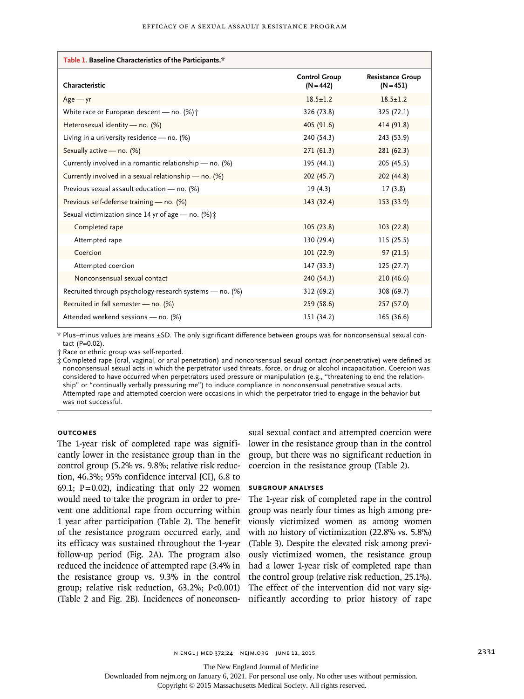| Table 1. Baseline Characteristics of the Participants.*   |                                     |                                        |  |  |  |  |  |
|-----------------------------------------------------------|-------------------------------------|----------------------------------------|--|--|--|--|--|
| Characteristic                                            | <b>Control Group</b><br>$(N = 442)$ | <b>Resistance Group</b><br>$(N = 451)$ |  |  |  |  |  |
| $Age - yr$                                                | $18.5 + 1.2$                        | $18.5 + 1.2$                           |  |  |  |  |  |
| White race or European descent - no. (%) $\uparrow$       | 326 (73.8)                          | 325 (72.1)                             |  |  |  |  |  |
| Heterosexual identity — no. $(\%)$                        | 405 (91.6)                          | 414 (91.8)                             |  |  |  |  |  |
| Living in a university residence - no. (%)                | 240 (54.3)                          | 243 (53.9)                             |  |  |  |  |  |
| Sexually active - no. (%)                                 | 271(61.3)                           | 281(62.3)                              |  |  |  |  |  |
| Currently involved in a romantic relationship - no. (%)   | 195(44.1)                           | 205 (45.5)                             |  |  |  |  |  |
| Currently involved in a sexual relationship - no. $(\%)$  | 202(45.7)                           | 202 (44.8)                             |  |  |  |  |  |
| Previous sexual assault education - no. (%)               | 19(4.3)                             | 17(3.8)                                |  |  |  |  |  |
| Previous self-defense training - no. (%)                  | 143 (32.4)                          | 153 (33.9)                             |  |  |  |  |  |
| Sexual victimization since 14 yr of age - no. (%) :       |                                     |                                        |  |  |  |  |  |
| Completed rape                                            | 105(23.8)                           | 103(22.8)                              |  |  |  |  |  |
| Attempted rape                                            | 130 (29.4)                          | 115 (25.5)                             |  |  |  |  |  |
| Coercion                                                  | 101(22.9)                           | 97(21.5)                               |  |  |  |  |  |
| Attempted coercion                                        | 147 (33.3)                          | 125(27.7)                              |  |  |  |  |  |
| Nonconsensual sexual contact                              | 240 (54.3)                          | 210(46.6)                              |  |  |  |  |  |
| Recruited through psychology-research systems $-$ no. (%) | 312 (69.2)                          | 308 (69.7)                             |  |  |  |  |  |
| Recruited in fall semester - no. (%)                      | 259 (58.6)                          | 257 (57.0)                             |  |  |  |  |  |
| Attended weekend sessions - no. (%)                       | 151 (34.2)                          | 165 (36.6)                             |  |  |  |  |  |

\* Plus–minus values are means ±SD. The only significant difference between groups was for nonconsensual sexual contact (P=0.02).

† Race or ethnic group was self-reported.

‡ Completed rape (oral, vaginal, or anal penetration) and nonconsensual sexual contact (nonpenetrative) were defined as nonconsensual sexual acts in which the perpetrator used threats, force, or drug or alcohol incapacitation. Coercion was considered to have occurred when perpetrators used pressure or manipulation (e.g., "threatening to end the relationship" or "continually verbally pressuring me") to induce compliance in nonconsensual penetrative sexual acts. Attempted rape and attempted coercion were occasions in which the perpetrator tried to engage in the behavior but was not successful.

## **Outcomes**

The 1-year risk of completed rape was significantly lower in the resistance group than in the control group (5.2% vs. 9.8%; relative risk reduction, 46.3%; 95% confidence interval [CI], 6.8 to 69.1;  $P=0.02$ ), indicating that only 22 women would need to take the program in order to prevent one additional rape from occurring within 1 year after participation (Table 2). The benefit of the resistance program occurred early, and its efficacy was sustained throughout the 1-year follow-up period (Fig. 2A). The program also reduced the incidence of attempted rape (3.4% in the resistance group vs. 9.3% in the control group; relative risk reduction, 63.2%; P<0.001)

sual sexual contact and attempted coercion were lower in the resistance group than in the control group, but there was no significant reduction in coercion in the resistance group (Table 2).

## **Subgroup Analyses**

(Table 2 and Fig. 2B). Incidences of nonconsen-nificantly according to prior history of rape The 1-year risk of completed rape in the control group was nearly four times as high among previously victimized women as among women with no history of victimization (22.8% vs. 5.8%) (Table 3). Despite the elevated risk among previously victimized women, the resistance group had a lower 1-year risk of completed rape than the control group (relative risk reduction, 25.1%). The effect of the intervention did not vary sig-

The New England Journal of Medicine

Downloaded from nejm.org on January 6, 2021. For personal use only. No other uses without permission.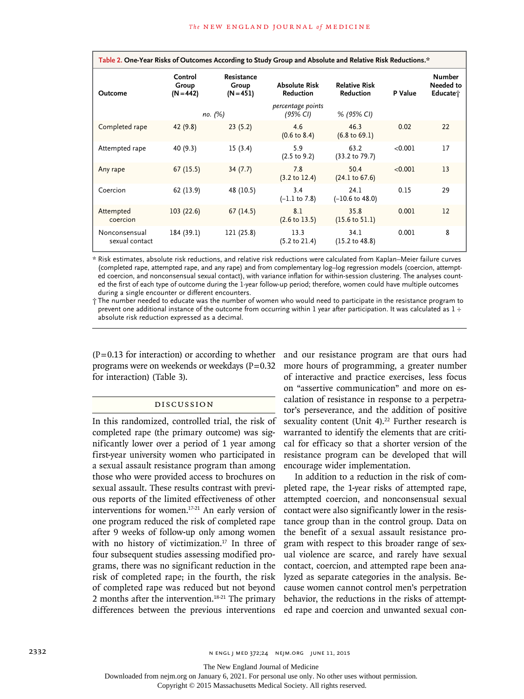| Table 2. One-Year Risks of Outcomes According to Study Group and Absolute and Relative Risk Reductions.* |                                 |                                    |                                   |                                          |         |                                        |  |  |
|----------------------------------------------------------------------------------------------------------|---------------------------------|------------------------------------|-----------------------------------|------------------------------------------|---------|----------------------------------------|--|--|
| Outcome                                                                                                  | Control<br>Group<br>$(N = 442)$ | Resistance<br>Group<br>$(N = 451)$ | <b>Absolute Risk</b><br>Reduction | <b>Relative Risk</b><br><b>Reduction</b> | P Value | <b>Number</b><br>Needed to<br>Educater |  |  |
|                                                                                                          |                                 | по. (%)                            | percentage points<br>(95% CI)     | % (95% CI)                               |         |                                        |  |  |
| Completed rape                                                                                           | 42(9.8)                         | 23(5.2)                            | 4.6<br>$(0.6 \text{ to } 8.4)$    | 46.3<br>$(6.8 \text{ to } 69.1)$         | 0.02    | 22                                     |  |  |
| Attempted rape                                                                                           | 40 (9.3)                        | 15(3.4)                            | 5.9<br>$(2.5 \text{ to } 9.2)$    | 63.2<br>$(33.2 \text{ to } 79.7)$        | < 0.001 | 17                                     |  |  |
| Any rape                                                                                                 | 67(15.5)                        | 34(7.7)                            | 7.8<br>$(3.2 \text{ to } 12.4)$   | 50.4<br>(24.1 to 67.6)                   | < 0.001 | 13                                     |  |  |
| Coercion                                                                                                 | 62 (13.9)                       | 48 (10.5)                          | 3.4<br>$(-1.1 \text{ to } 7.8)$   | 24.1<br>$(-10.6 \text{ to } 48.0)$       | 0.15    | 29                                     |  |  |
| Attempted<br>coercion                                                                                    | 103(22.6)                       | 67(14.5)                           | 8.1<br>$(2.6 \text{ to } 13.5)$   | 35.8<br>$(15.6 \text{ to } 51.1)$        | 0.001   | 12                                     |  |  |
| Nonconsensual<br>sexual contact                                                                          | 184 (39.1)                      | 121 (25.8)                         | 13.3<br>$(5.2 \text{ to } 21.4)$  | 34.1<br>$(15.2 \text{ to } 48.8)$        | 0.001   | 8                                      |  |  |

\* Risk estimates, absolute risk reductions, and relative risk reductions were calculated from Kaplan–Meier failure curves (completed rape, attempted rape, and any rape) and from complementary log–log regression models (coercion, attempted coercion, and nonconsensual sexual contact), with variance inflation for within-session clustering. The analyses counted the first of each type of outcome during the 1-year follow-up period; therefore, women could have multiple outcomes during a single encounter or different encounters.

† The number needed to educate was the number of women who would need to participate in the resistance program to prevent one additional instance of the outcome from occurring within 1 year after participation. It was calculated as 1 ÷ absolute risk reduction expressed as a decimal.

 $(P=0.13$  for interaction) or according to whether programs were on weekends or weekdays  $(P=0.32)$ for interaction) (Table 3).

## Discussion

In this randomized, controlled trial, the risk of completed rape (the primary outcome) was significantly lower over a period of 1 year among first-year university women who participated in a sexual assault resistance program than among those who were provided access to brochures on sexual assault. These results contrast with previous reports of the limited effectiveness of other interventions for women.17-21 An early version of one program reduced the risk of completed rape after 9 weeks of follow-up only among women with no history of victimization.<sup>17</sup> In three of four subsequent studies assessing modified programs, there was no significant reduction in the risk of completed rape; in the fourth, the risk of completed rape was reduced but not beyond 2 months after the intervention.<sup>18-21</sup> The primary differences between the previous interventions

and our resistance program are that ours had more hours of programming, a greater number of interactive and practice exercises, less focus on "assertive communication" and more on escalation of resistance in response to a perpetrator's perseverance, and the addition of positive sexuality content (Unit 4).<sup>22</sup> Further research is warranted to identify the elements that are critical for efficacy so that a shorter version of the resistance program can be developed that will encourage wider implementation.

In addition to a reduction in the risk of completed rape, the 1-year risks of attempted rape, attempted coercion, and nonconsensual sexual contact were also significantly lower in the resistance group than in the control group. Data on the benefit of a sexual assault resistance program with respect to this broader range of sexual violence are scarce, and rarely have sexual contact, coercion, and attempted rape been analyzed as separate categories in the analysis. Because women cannot control men's perpetration behavior, the reductions in the risks of attempted rape and coercion and unwanted sexual con-

The New England Journal of Medicine

Downloaded from nejm.org on January 6, 2021. For personal use only. No other uses without permission.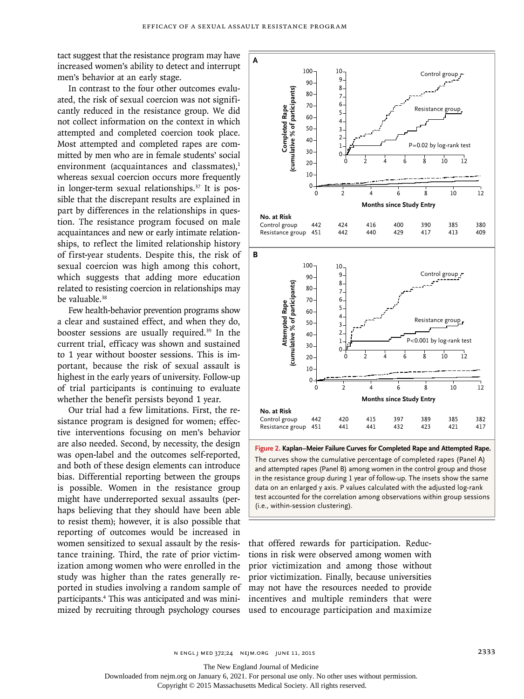tact suggest that the resistance program may have increased women's ability to detect and interrupt men's behavior at an early stage.

In contrast to the four other outcomes evaluated, the risk of sexual coercion was not significantly reduced in the resistance group. We did not collect information on the context in which attempted and completed coercion took place. Most attempted and completed rapes are committed by men who are in female students' social environment (acquaintances and classmates), $<sup>1</sup>$ </sup> whereas sexual coercion occurs more frequently in longer-term sexual relationships.<sup>37</sup> It is possible that the discrepant results are explained in part by differences in the relationships in question. The resistance program focused on male acquaintances and new or early intimate relationships, to reflect the limited relationship history of first-year students. Despite this, the risk of sexual coercion was high among this cohort, which suggests that adding more education related to resisting coercion in relationships may be valuable.<sup>38</sup>

Few health-behavior prevention programs show a clear and sustained effect, and when they do, booster sessions are usually required.39 In the current trial, efficacy was shown and sustained to 1 year without booster sessions. This is important, because the risk of sexual assault is highest in the early years of university. Follow-up of trial participants is continuing to evaluate whether the benefit persists beyond 1 year.

Our trial had a few limitations. First, the resistance program is designed for women; effective interventions focusing on men's behavior are also needed. Second, by necessity, the design was open-label and the outcomes self-reported, and both of these design elements can introduce bias. Differential reporting between the groups is possible. Women in the resistance group might have underreported sexual assaults (perhaps believing that they should have been able to resist them); however, it is also possible that reporting of outcomes would be increased in women sensitized to sexual assault by the resistance training. Third, the rate of prior victimization among women who were enrolled in the study was higher than the rates generally reported in studies involving a random sample of participants.4 This was anticipated and was minimized by recruiting through psychology courses



**Figure 2. Kaplan–Meier Failure Curves for Completed Rape and Attempted Rape.** The curves show the cumulative percentage of completed rapes (Panel A) and attempted rapes (Panel B) among women in the control group and those in the resistance group during 1 year of follow-up. The insets show the same data on an enlarged y axis. P values calculated with the adjusted log-rank test accounted for the correlation among observations within group sessions

that offered rewards for participation. Reductions in risk were observed among women with prior victimization and among those without prior victimization. Finally, because universities may not have the resources needed to provide incentives and multiple reminders that were used to encourage participation and maximize

The New England Journal of Medicine

Downloaded from nejm.org on January 6, 2021. For personal use only. No other uses without permission.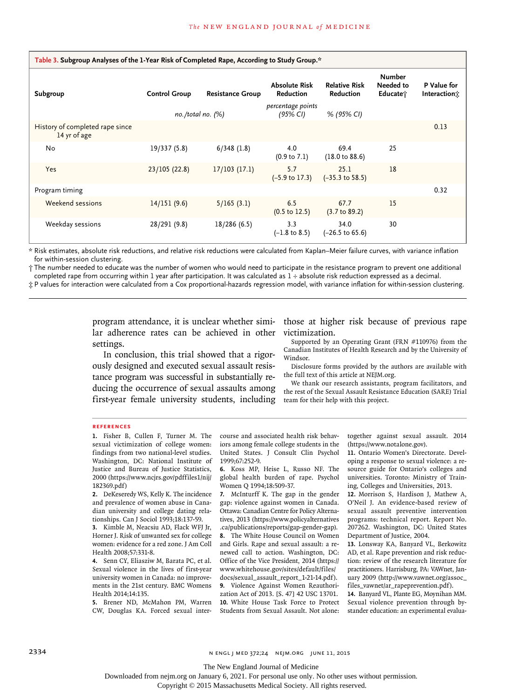| Table 3. Subgroup Analyses of the 1-Year Risk of Completed Rape, According to Study Group.* |                      |                         |                                          |                                    |                                        |                             |  |  |
|---------------------------------------------------------------------------------------------|----------------------|-------------------------|------------------------------------------|------------------------------------|----------------------------------------|-----------------------------|--|--|
| Subgroup                                                                                    | <b>Control Group</b> | <b>Resistance Group</b> | <b>Absolute Risk</b><br><b>Reduction</b> | <b>Relative Risk</b><br>Reduction  | <b>Number</b><br>Needed to<br>Educate* | P Value for<br>Interaction; |  |  |
|                                                                                             |                      | no./total no. $(%)$     | percentage points<br>(95% CI)            | % (95% CI)                         |                                        |                             |  |  |
| History of completed rape since<br>14 yr of age                                             |                      |                         |                                          |                                    |                                        | 0.13                        |  |  |
| No                                                                                          | 19/337 (5.8)         | 6/348(1.8)              | 4.0<br>$(0.9 \text{ to } 7.1)$           | 69.4<br>$(18.0 \text{ to } 88.6)$  | 25                                     |                             |  |  |
| Yes                                                                                         | 23/105(22.8)         | $17/103$ (17.1)         | 5.7<br>$(-5.9 \text{ to } 17.3)$         | 25.1<br>$(-35.3 \text{ to } 58.5)$ | 18                                     |                             |  |  |
| Program timing                                                                              |                      |                         |                                          |                                    |                                        | 0.32                        |  |  |
| Weekend sessions                                                                            | 14/151(9.6)          | 5/165(3.1)              | 6.5<br>$(0.5 \text{ to } 12.5)$          | 67.7<br>$(3.7 \text{ to } 89.2)$   | 15                                     |                             |  |  |
| Weekday sessions                                                                            | 28/291 (9.8)         | 18/286 (6.5)            | 3.3<br>$(-1.8 \text{ to } 8.5)$          | 34.0<br>$(-26.5 \text{ to } 65.6)$ | 30                                     |                             |  |  |

\* Risk estimates, absolute risk reductions, and relative risk reductions were calculated from Kaplan–Meier failure curves, with variance inflation for within-session clustering.

† The number needed to educate was the number of women who would need to participate in the resistance program to prevent one additional completed rape from occurring within 1 year after participation. It was calculated as 1 ÷ absolute risk reduction expressed as a decimal.

‡ P values for interaction were calculated from a Cox proportional-hazards regression model, with variance inflation for within-session clustering.

program attendance, it is unclear whether similar adherence rates can be achieved in other settings.

In conclusion, this trial showed that a rigorously designed and executed sexual assault resistance program was successful in substantially reducing the occurrence of sexual assaults among first-year female university students, including

those at higher risk because of previous rape victimization.

Supported by an Operating Grant (FRN #110976) from the Canadian Institutes of Health Research and by the University of Windsor.

Disclosure forms provided by the authors are available with the full text of this article at NEJM.org.

We thank our research assistants, program facilitators, and the rest of the Sexual Assault Resistance Education (SARE) Trial team for their help with this project.

#### **References**

**1.** Fisher B, Cullen F, Turner M. The sexual victimization of college women: findings from two national-level studies. Washington, DC: National Institute of Justice and Bureau of Justice Statistics, 2000 (https://www.ncjrs.gov/pdffiles1/nij/ 182369.pdf)

**2.** DeKeseredy WS, Kelly K. The incidence and prevalence of women abuse in Canadian university and college dating relationships. Can J Sociol 1993;18:137-59.

**3.** Kimble M, Neacsiu AD, Flack WFJ Jr, Horner J. Risk of unwanted sex for college women: evidence for a red zone. J Am Coll Health 2008;57:331-8.

**4.** Senn CY, Eliasziw M, Barata PC, et al. Sexual violence in the lives of first-year university women in Canada: no improvements in the 21st century. BMC Womens Health 2014;14:135.

**5.** Brener ND, McMahon PM, Warren CW, Douglas KA. Forced sexual intercourse and associated health risk behaviors among female college students in the United States. J Consult Clin Psychol 1999;67:252-9.

**6.** Koss MP, Heise L, Russo NF. The global health burden of rape. Psychol Women Q 1994;18:509-37.

**7.** McInturff K. The gap in the gender gap: violence against women in Canada. Ottawa: Canadian Centre for Policy Alternatives, 2013 (https://www.policyalternatives .ca/publications/reports/gap-gender-gap).

**8.** The White House Council on Women and Girls. Rape and sexual assault: a renewed call to action. Washington, DC: Office of the Vice President, 2014 (https:// www.whitehouse.gov/sites/default/files/ docs/sexual\_assault\_report\_1-21-14.pdf). **9.** Violence Against Women Reauthori-

zation Act of 2013. [S. 47] 42 USC 13701. **10.** White House Task Force to Protect Students from Sexual Assault. Not alone:

together against sexual assault. 2014 (https://www.notalone.gov).

**11.** Ontario Women's Directorate. Developing a response to sexual violence: a resource guide for Ontario's colleges and universities. Toronto: Ministry of Training, Colleges and Universities, 2013.

**12.** Morrison S, Hardison J, Mathew A, O'Neil J. An evidence-based review of sexual assault preventive intervention programs: technical report. Report No. 207262. Washington, DC: United States Department of Justice, 2004.

**13.** Lonsway KA, Banyard VL, Berkowitz AD, et al. Rape prevention and risk reduction: review of the research literature for practitioners. Harrisburg, PA: VAWnet, January 2009 (http://www.vawnet.org/assoc\_ files\_vawnet/ar\_rapeprevention.pdf).

**14.** Banyard VL, Plante EG, Moynihan MM. Sexual violence prevention through bystander education: an experimental evalua-

The New England Journal of Medicine

Downloaded from nejm.org on January 6, 2021. For personal use only. No other uses without permission.